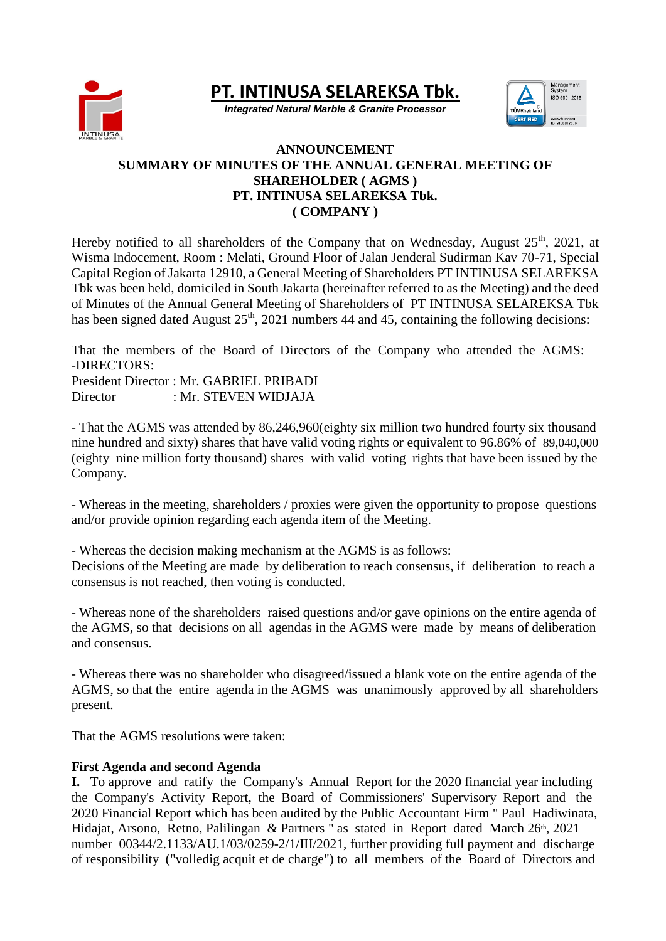

**PT. INTINUSA SELAREKSA Tbk.**

*Integrated Natural Marble & Granite Processor*



## **ANNOUNCEMENT SUMMARY OF MINUTES OF THE ANNUAL GENERAL MEETING OF SHAREHOLDER ( AGMS ) PT. INTINUSA SELAREKSA Tbk. ( COMPANY )**

Hereby notified to all shareholders of the Company that on Wednesday, August  $25<sup>th</sup>$ , 2021, at Wisma Indocement, Room : Melati, Ground Floor of Jalan Jenderal Sudirman Kav 70-71, Special Capital Region of Jakarta 12910, a General Meeting of Shareholders PT INTINUSA SELAREKSA Tbk was been held, domiciled in South Jakarta (hereinafter referred to as the Meeting) and the deed of Minutes of the Annual General Meeting of Shareholders of PT INTINUSA SELAREKSA Tbk has been signed dated August  $25<sup>th</sup>$ , 2021 numbers 44 and 45, containing the following decisions:

That the members of the Board of Directors of the Company who attended the AGMS: -DIRECTORS: President Director : Mr. GABRIEL PRIBADI

Director : Mr. STEVEN WIDJAJA

- That the AGMS was attended by 86,246,960(eighty six million two hundred fourty six thousand nine hundred and sixty) shares that have valid voting rights or equivalent to 96.86% of 89,040,000 (eighty nine million forty thousand) shares with valid voting rights that have been issued by the Company.

- Whereas in the meeting, shareholders / proxies were given the opportunity to propose questions and/or provide opinion regarding each agenda item of the Meeting.

- Whereas the decision making mechanism at the AGMS is as follows: Decisions of the Meeting are made by deliberation to reach consensus, if deliberation to reach a consensus is not reached, then voting is conducted.

- Whereas none of the shareholders raised questions and/or gave opinions on the entire agenda of the AGMS, so that decisions on all agendas in the AGMS were made by means of deliberation and consensus.

- Whereas there was no shareholder who disagreed/issued a blank vote on the entire agenda of the AGMS, so that the entire agenda in the AGMS was unanimously approved by all shareholders present.

That the AGMS resolutions were taken:

# **First Agenda and second Agenda**

**I.** To approve and ratify the Company's Annual Report for the 2020 financial year including the Company's Activity Report, the Board of Commissioners' Supervisory Report and the 2020 Financial Report which has been audited by the Public Accountant Firm " Paul Hadiwinata, Hidajat, Arsono, Retno, Palilingan & Partners " as stated in Report dated March 26<sup>th</sup>, 2021 number 00344/2.1133/AU.1/03/0259-2/1/III/2021, further providing full payment and discharge of responsibility ("volledig acquit et de charge") to all members of the Board of Directors and